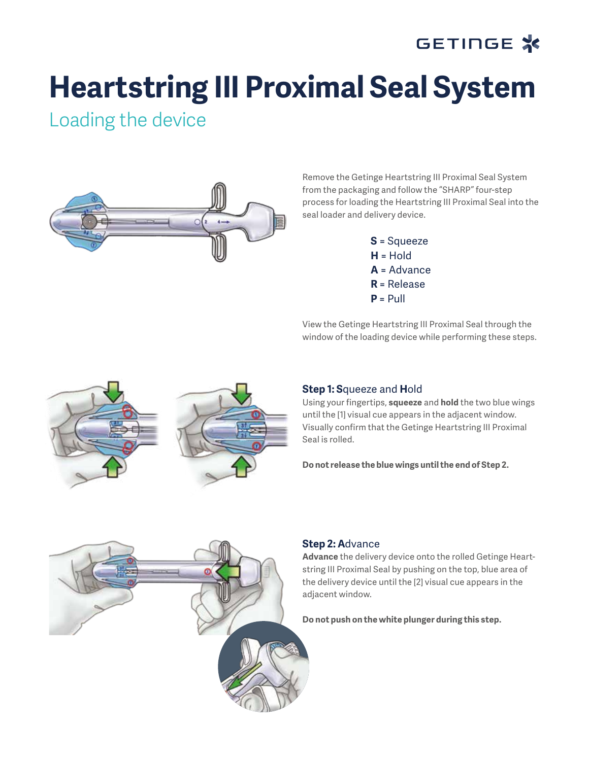# GETINGE \*

# **Heartstring III Proximal Seal System**

Loading the device



Remove the Getinge Heartstring III Proximal Seal System from the packaging and follow the "SHARP" four-step process for loading the Heartstring III Proximal Seal into the seal loader and delivery device.

> **S** = Squeeze **H** = Hold **A** = Advance **R** = Release  $P = P$ ull

View the Getinge Heartstring III Proximal Seal through the window of the loading device while performing these steps.



### **Step 1: S**queeze and **H**old

Using your fingertips, **squeeze** and **hold** the two blue wings until the [1] visual cue appears in the adjacent window. Visually confirm that the Getinge Heartstring III Proximal Seal is rolled.

**Do not release the blue wings until the end of Step 2.**



#### **Step 2: A**dvance

**Advance** the delivery device onto the rolled Getinge Heartstring III Proximal Seal by pushing on the top, blue area of the delivery device until the [2] visual cue appears in the adjacent window.

**Do not push on the white plunger during this step.**